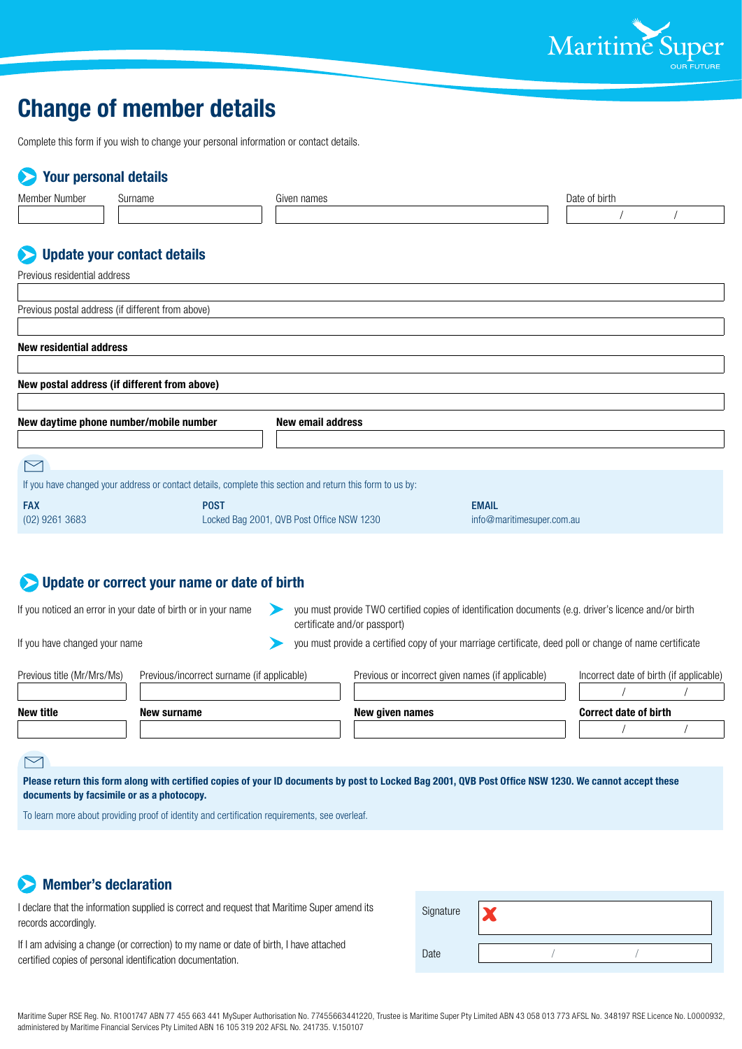

# **Change of member details**

Complete this form if you wish to change your personal information or contact details.

## **Your personal details**

| Member Number                                                      | Surname                                                                                                   |                                            | Given names |  |                                                                                                                                       | Date of birth             |  |                                         |  |
|--------------------------------------------------------------------|-----------------------------------------------------------------------------------------------------------|--------------------------------------------|-------------|--|---------------------------------------------------------------------------------------------------------------------------------------|---------------------------|--|-----------------------------------------|--|
|                                                                    |                                                                                                           |                                            |             |  |                                                                                                                                       |                           |  |                                         |  |
|                                                                    |                                                                                                           |                                            |             |  |                                                                                                                                       |                           |  |                                         |  |
|                                                                    | <b>Update your contact details</b>                                                                        |                                            |             |  |                                                                                                                                       |                           |  |                                         |  |
| Previous residential address                                       |                                                                                                           |                                            |             |  |                                                                                                                                       |                           |  |                                         |  |
|                                                                    |                                                                                                           |                                            |             |  |                                                                                                                                       |                           |  |                                         |  |
|                                                                    | Previous postal address (if different from above)                                                         |                                            |             |  |                                                                                                                                       |                           |  |                                         |  |
| <b>New residential address</b>                                     |                                                                                                           |                                            |             |  |                                                                                                                                       |                           |  |                                         |  |
|                                                                    |                                                                                                           |                                            |             |  |                                                                                                                                       |                           |  |                                         |  |
|                                                                    | New postal address (if different from above)                                                              |                                            |             |  |                                                                                                                                       |                           |  |                                         |  |
|                                                                    |                                                                                                           |                                            |             |  |                                                                                                                                       |                           |  |                                         |  |
| New daytime phone number/mobile number<br><b>New email address</b> |                                                                                                           |                                            |             |  |                                                                                                                                       |                           |  |                                         |  |
|                                                                    |                                                                                                           |                                            |             |  |                                                                                                                                       |                           |  |                                         |  |
| $\bowtie$                                                          |                                                                                                           |                                            |             |  |                                                                                                                                       |                           |  |                                         |  |
|                                                                    | If you have changed your address or contact details, complete this section and return this form to us by: |                                            |             |  |                                                                                                                                       |                           |  |                                         |  |
| <b>FAX</b>                                                         |                                                                                                           | <b>POST</b>                                |             |  |                                                                                                                                       | <b>EMAIL</b>              |  |                                         |  |
| (02) 9261 3683                                                     |                                                                                                           | Locked Bag 2001, QVB Post Office NSW 1230  |             |  |                                                                                                                                       | info@maritimesuper.com.au |  |                                         |  |
|                                                                    |                                                                                                           |                                            |             |  |                                                                                                                                       |                           |  |                                         |  |
|                                                                    |                                                                                                           |                                            |             |  |                                                                                                                                       |                           |  |                                         |  |
|                                                                    | Update or correct your name or date of birth                                                              |                                            |             |  |                                                                                                                                       |                           |  |                                         |  |
| If you noticed an error in your date of birth or in your name      |                                                                                                           |                                            |             |  | you must provide TWO certified copies of identification documents (e.g. driver's licence and/or birth<br>certificate and/or passport) |                           |  |                                         |  |
| If you have changed your name                                      |                                                                                                           |                                            |             |  | you must provide a certified copy of your marriage certificate, deed poll or change of name certificate                               |                           |  |                                         |  |
| Previous title (Mr/Mrs/Ms)                                         |                                                                                                           | Previous/incorrect surname (if applicable) |             |  | Previous or incorrect given names (if applicable)                                                                                     |                           |  | Incorrect date of birth (if applicable) |  |
|                                                                    |                                                                                                           |                                            |             |  |                                                                                                                                       |                           |  |                                         |  |
| <b>New title</b>                                                   | New surname                                                                                               |                                            |             |  | New given names                                                                                                                       |                           |  | <b>Correct date of birth</b>            |  |
|                                                                    |                                                                                                           |                                            |             |  |                                                                                                                                       |                           |  |                                         |  |

### $\triangleright$

**Please return this form along with certified copies of your ID documents by post to Locked Bag 2001, QVB Post Office NSW 1230. We cannot accept these documents by facsimile or as a photocopy.** 

To learn more about providing proof of identity and certification requirements, see overleaf.

## **Member's declaration**

I declare that the information supplied is correct and request that Maritime Super amend its records accordingly.

If I am advising a change (or correction) to my name or date of birth, I have attached certified copies of personal identification documentation.

| Signature |  |  |
|-----------|--|--|
| Date      |  |  |

Maritime Super RSE Reg. No. R1001747 ABN 77 455 663 441 MySuper Authorisation No. 77455663441220, Trustee is Maritime Super Pty Limited ABN 43 058 013 773 AFSL No. 348197 RSE Licence No. L0000932, administered by Maritime Financial Services Pty Limited ABN 16 105 319 202 AFSL No. 241735. V.150107